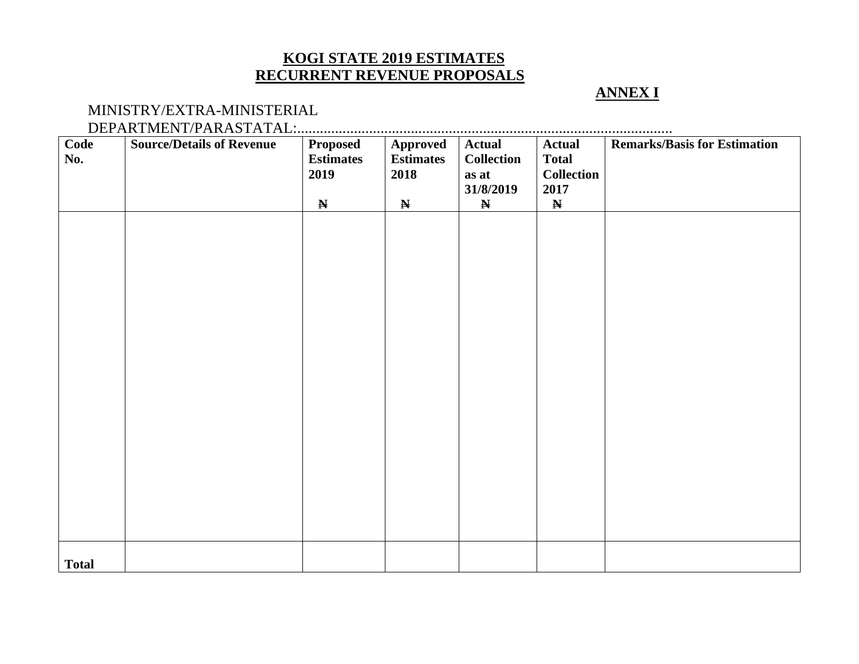# **KOGI STATE 2019 ESTIMATES RECURRENT REVENUE PROPOSALS**

## **ANNEX I**

#### MINISTRY/EXTRA-MINISTERIAL DEPARTMENT/PARASTATAL:...................................................................................................

| Code<br>No.  | <b>Source/Details of Revenue</b> | <b>Proposed</b><br><b>Estimates</b><br>2019 | Approved<br><b>Estimates</b><br>2018 | <b>Actual</b><br><b>Collection</b><br>as at<br>31/8/2019 | <b>Actual</b><br><b>Total</b><br><b>Collection</b><br>2017 | <b>Remarks/Basis for Estimation</b> |
|--------------|----------------------------------|---------------------------------------------|--------------------------------------|----------------------------------------------------------|------------------------------------------------------------|-------------------------------------|
|              |                                  | $\mathbf N$                                 | $\mathbf N$                          | $\mathbf N$                                              | $\mathbf N$                                                |                                     |
|              |                                  |                                             |                                      |                                                          |                                                            |                                     |
|              |                                  |                                             |                                      |                                                          |                                                            |                                     |
|              |                                  |                                             |                                      |                                                          |                                                            |                                     |
|              |                                  |                                             |                                      |                                                          |                                                            |                                     |
|              |                                  |                                             |                                      |                                                          |                                                            |                                     |
|              |                                  |                                             |                                      |                                                          |                                                            |                                     |
|              |                                  |                                             |                                      |                                                          |                                                            |                                     |
|              |                                  |                                             |                                      |                                                          |                                                            |                                     |
|              |                                  |                                             |                                      |                                                          |                                                            |                                     |
|              |                                  |                                             |                                      |                                                          |                                                            |                                     |
|              |                                  |                                             |                                      |                                                          |                                                            |                                     |
| <b>Total</b> |                                  |                                             |                                      |                                                          |                                                            |                                     |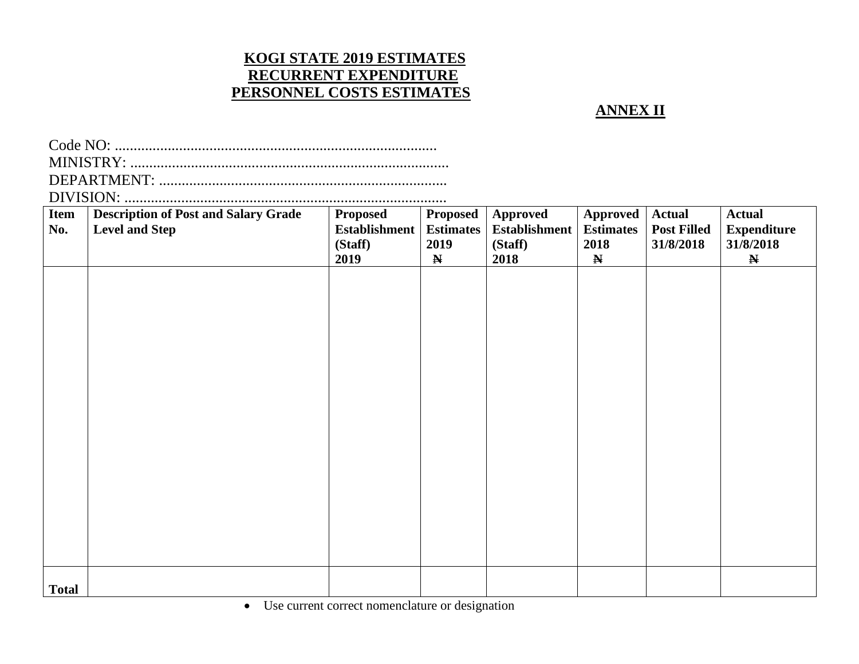# **KOGI STATE 2019 ESTIMATES RECURRENT EXPENDITURE PERSONNEL COSTS ESTIMATES**

**ANNEX II**

| <b>Item</b><br>No. | <b>Description of Post and Salary Grade</b><br><b>Level and Step</b> | <b>Proposed</b><br><b>Establishment</b><br>(Staff)<br>2019 | Proposed<br><b>Estimates</b><br>2019<br>$\mathbf N$ | <b>Approved</b><br><b>Establishment</b><br>(Staff)<br>2018 | Approved<br><b>Estimates</b><br>2018<br>$\mathbf N$ | <b>Actual</b><br><b>Post Filled</b><br>31/8/2018 | <b>Actual</b><br><b>Expenditure</b><br>31/8/2018<br>$\mathbf N$ |  |  |  |
|--------------------|----------------------------------------------------------------------|------------------------------------------------------------|-----------------------------------------------------|------------------------------------------------------------|-----------------------------------------------------|--------------------------------------------------|-----------------------------------------------------------------|--|--|--|
|                    |                                                                      |                                                            |                                                     |                                                            |                                                     |                                                  |                                                                 |  |  |  |
|                    |                                                                      |                                                            |                                                     |                                                            |                                                     |                                                  |                                                                 |  |  |  |
|                    |                                                                      |                                                            |                                                     |                                                            |                                                     |                                                  |                                                                 |  |  |  |
|                    |                                                                      |                                                            |                                                     |                                                            |                                                     |                                                  |                                                                 |  |  |  |
|                    |                                                                      |                                                            |                                                     |                                                            |                                                     |                                                  |                                                                 |  |  |  |
|                    |                                                                      |                                                            |                                                     |                                                            |                                                     |                                                  |                                                                 |  |  |  |
| <b>Total</b>       |                                                                      |                                                            |                                                     |                                                            |                                                     |                                                  |                                                                 |  |  |  |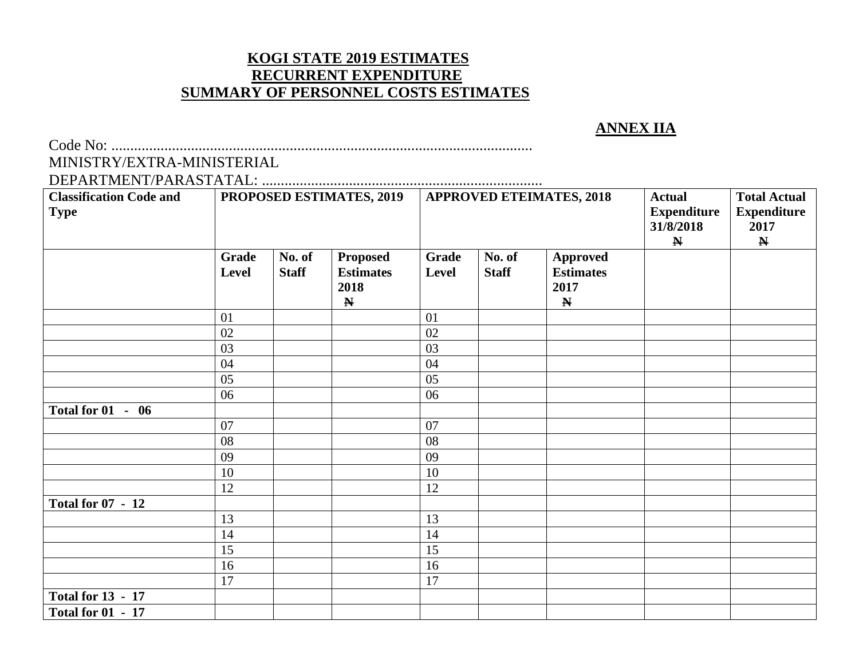# **KOGI STATE 2019 ESTIMATES RECURRENT EXPENDITURE SUMMARY OF PERSONNEL COSTS ESTIMATES**

# **ANNEX IIA**

Code No: ...............................................................................................................

# MINISTRY/EXTRA-MINISTERIAL

DEPARTMENT/PARASTATAL: .......................................................................... Classification Code and **PROPOSED ESTIMATES, 2019** APPROVED ETEIMATES, 2018 Actual **Type Expenditure 31/8/2018 N Total Actual Expenditure 2017 N Grade Level No. of Staff Proposed Estimates 2018 N Grade Level No. of Staff Approved Estimates 2017 N** 01 01 02 02 03 03 04 04 05 05 06 06 **Total for 01 - 06** 07 | | | | | 07 08 08 09 09 10 10 12 12 **Total for 07 - 12**  13 13 14 14 15 15 16 16 17 17 **Total for 13 - 17 Total for 01 - 17**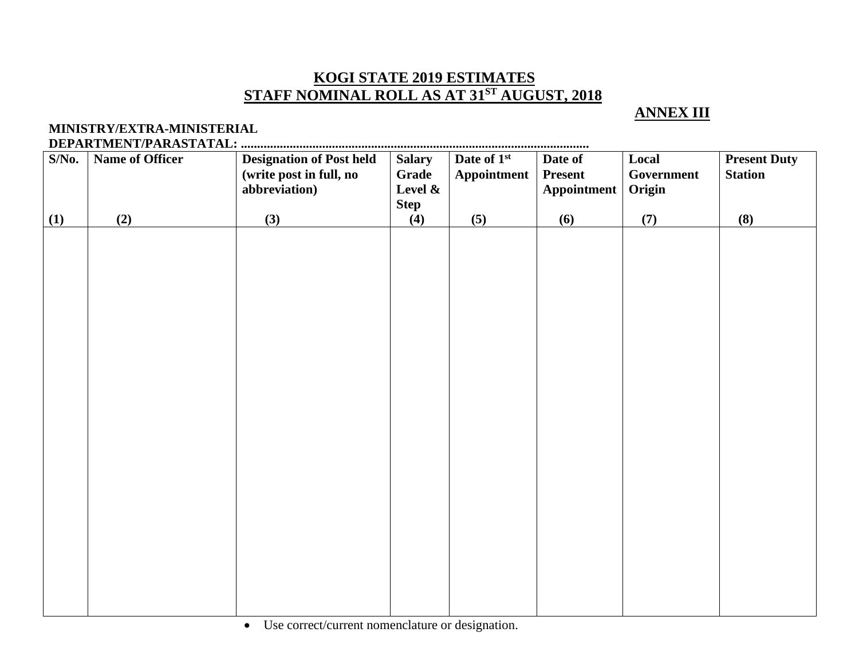# **KOGI STATE 2019 ESTIMATES STAFF NOMINAL ROLL AS AT 31 ST AUGUST, 2018**

# **ANNEX III**

#### **MINISTRY/EXTRA-MINISTERIAL DEPARTMENT/PARASTATAL: ...........................................................................................................**

| $S/N0$ . | <b>Present Duty</b><br>Name of Officer<br><b>Designation of Post held</b><br>Date of 1 <sup>st</sup><br>Local<br><b>Salary</b><br>Date of |                         |             |             |                |            |                |  |
|----------|-------------------------------------------------------------------------------------------------------------------------------------------|-------------------------|-------------|-------------|----------------|------------|----------------|--|
|          |                                                                                                                                           |                         |             |             |                |            |                |  |
|          |                                                                                                                                           | (write post in full, no | Grade       | Appointment | <b>Present</b> | Government | <b>Station</b> |  |
|          |                                                                                                                                           | abbreviation)           | Level &     |             | Appointment    | Origin     |                |  |
|          |                                                                                                                                           |                         | <b>Step</b> |             |                |            |                |  |
| (1)      | (2)                                                                                                                                       | (3)                     | (4)         | (5)         | (6)            | (7)        | (8)            |  |
|          |                                                                                                                                           |                         |             |             |                |            |                |  |
|          |                                                                                                                                           |                         |             |             |                |            |                |  |
|          |                                                                                                                                           |                         |             |             |                |            |                |  |
|          |                                                                                                                                           |                         |             |             |                |            |                |  |
|          |                                                                                                                                           |                         |             |             |                |            |                |  |
|          |                                                                                                                                           |                         |             |             |                |            |                |  |
|          |                                                                                                                                           |                         |             |             |                |            |                |  |
|          |                                                                                                                                           |                         |             |             |                |            |                |  |
|          |                                                                                                                                           |                         |             |             |                |            |                |  |
|          |                                                                                                                                           |                         |             |             |                |            |                |  |
|          |                                                                                                                                           |                         |             |             |                |            |                |  |
|          |                                                                                                                                           |                         |             |             |                |            |                |  |
|          |                                                                                                                                           |                         |             |             |                |            |                |  |
|          |                                                                                                                                           |                         |             |             |                |            |                |  |
|          |                                                                                                                                           |                         |             |             |                |            |                |  |
|          |                                                                                                                                           |                         |             |             |                |            |                |  |
|          |                                                                                                                                           |                         |             |             |                |            |                |  |
|          |                                                                                                                                           |                         |             |             |                |            |                |  |
|          |                                                                                                                                           |                         |             |             |                |            |                |  |
|          |                                                                                                                                           |                         |             |             |                |            |                |  |
|          |                                                                                                                                           |                         |             |             |                |            |                |  |
|          |                                                                                                                                           |                         |             |             |                |            |                |  |
|          |                                                                                                                                           |                         |             |             |                |            |                |  |
|          |                                                                                                                                           |                         |             |             |                |            |                |  |
|          |                                                                                                                                           |                         |             |             |                |            |                |  |
|          |                                                                                                                                           |                         |             |             |                |            |                |  |
|          |                                                                                                                                           |                         |             |             |                |            |                |  |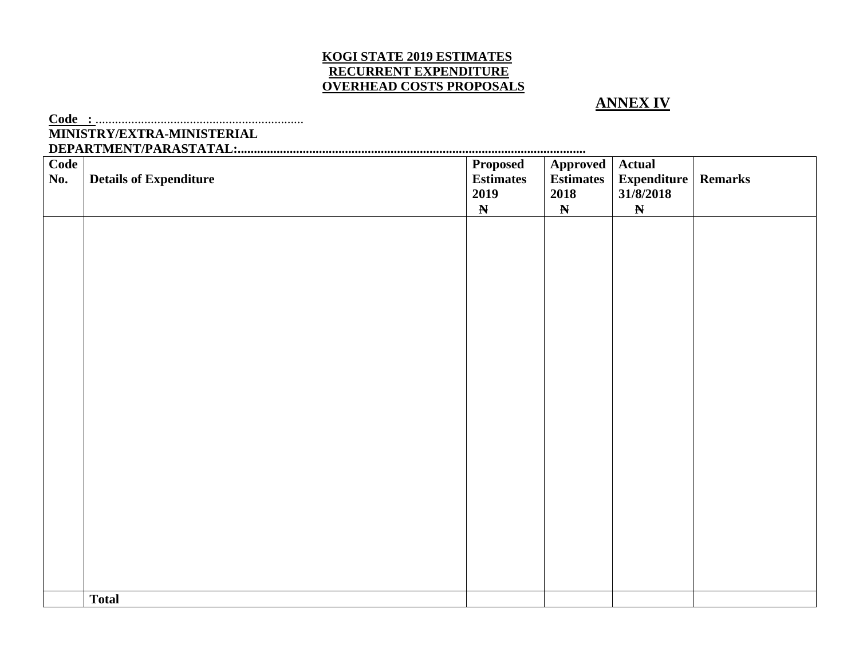#### **KOGI STATE 2019 ESTIMATES RECURRENT EXPENDITURE OVERHEAD COSTS PROPOSALS**

#### **ANNEX IV**

**Code :** ................................................................ **MINISTRY/EXTRA-MINISTERIAL DEPARTMENT/PARASTATAL:...........................................................................................................**

| Code<br>No. | <b>Details of Expenditure</b> | <b>Proposed</b><br><b>Estimates</b><br>2019<br>$\mathbf N$ | Approved<br><b>Estimates</b><br>2018<br>$\mathbf N$ | <b>Actual</b><br>Expenditure   Remarks<br>31/8/2018<br>$\pmb{\mathbb{N}}$ |  |
|-------------|-------------------------------|------------------------------------------------------------|-----------------------------------------------------|---------------------------------------------------------------------------|--|
|             |                               |                                                            |                                                     |                                                                           |  |
|             |                               |                                                            |                                                     |                                                                           |  |
|             |                               |                                                            |                                                     |                                                                           |  |
|             |                               |                                                            |                                                     |                                                                           |  |
|             |                               |                                                            |                                                     |                                                                           |  |
|             |                               |                                                            |                                                     |                                                                           |  |
|             | <b>Total</b>                  |                                                            |                                                     |                                                                           |  |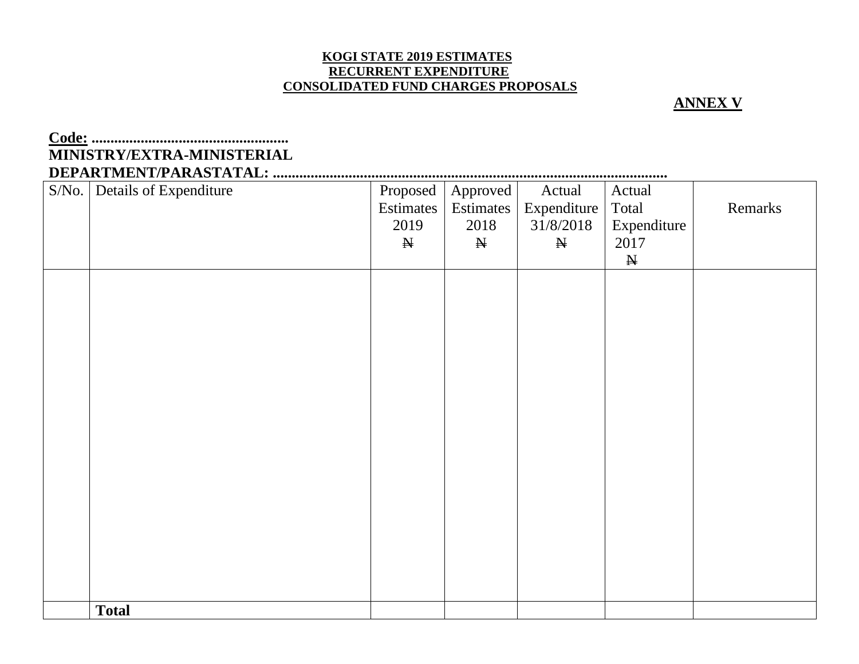#### **KOGI STATE 2019 ESTIMATES RECURRENT EXPENDITURE CONSOLIDATED FUND CHARGES PROPOSALS**

#### **ANNEX V**

# **Code: .................................................... MINISTRY/EXTRA-MINISTERIAL DEPARTMENT/PARASTATAL: ........................................................................................................**

| S/No. | Details of Expenditure | Proposed    | Approved    | Actual      | Actual       |         |
|-------|------------------------|-------------|-------------|-------------|--------------|---------|
|       |                        | Estimates   | Estimates   | Expenditure | Total        | Remarks |
|       |                        | 2019        | 2018        | 31/8/2018   | Expenditure  |         |
|       |                        | $\mathbb N$ | $\mathbb N$ | $\mathbb H$ | 2017         |         |
|       |                        |             |             |             | $\mathbf{N}$ |         |
|       |                        |             |             |             |              |         |
|       |                        |             |             |             |              |         |
|       |                        |             |             |             |              |         |
|       |                        |             |             |             |              |         |
|       |                        |             |             |             |              |         |
|       |                        |             |             |             |              |         |
|       |                        |             |             |             |              |         |
|       |                        |             |             |             |              |         |
|       |                        |             |             |             |              |         |
|       |                        |             |             |             |              |         |
|       |                        |             |             |             |              |         |
|       |                        |             |             |             |              |         |
|       |                        |             |             |             |              |         |
|       |                        |             |             |             |              |         |
|       |                        |             |             |             |              |         |
|       |                        |             |             |             |              |         |
|       |                        |             |             |             |              |         |
|       |                        |             |             |             |              |         |
|       |                        |             |             |             |              |         |
|       | <b>Total</b>           |             |             |             |              |         |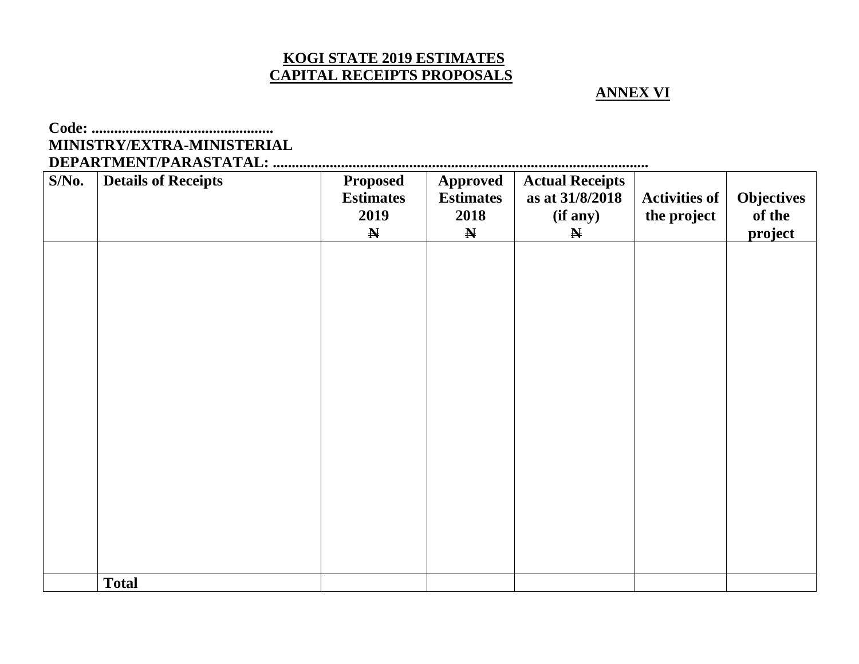# **KOGI STATE 2019 ESTIMATES CAPITAL RECEIPTS PROPOSALS**

## **ANNEX VI**

# **Code: ................................................**

# **MINISTRY/EXTRA-MINISTERIAL**

**DEPARTMENT/PARASTATAL: ...................................................................................................**

| $S/N0$ . | <b>Details of Receipts</b> | <b>Proposed</b><br><b>Estimates</b><br>2019 | <b>Approved</b><br><b>Estimates</b><br>2018 | <b>Actual Receipts</b><br>as at 31/8/2018<br>(if any) | <b>Activities of</b><br>the project | <b>Objectives</b><br>of the |
|----------|----------------------------|---------------------------------------------|---------------------------------------------|-------------------------------------------------------|-------------------------------------|-----------------------------|
|          |                            | $\mathbf N$                                 | $\mathbf N$                                 | $\mathbf N$                                           |                                     | project                     |
|          |                            |                                             |                                             |                                                       |                                     |                             |
|          |                            |                                             |                                             |                                                       |                                     |                             |
|          |                            |                                             |                                             |                                                       |                                     |                             |
|          |                            |                                             |                                             |                                                       |                                     |                             |
|          |                            |                                             |                                             |                                                       |                                     |                             |
|          |                            |                                             |                                             |                                                       |                                     |                             |
|          |                            |                                             |                                             |                                                       |                                     |                             |
|          |                            |                                             |                                             |                                                       |                                     |                             |
|          |                            |                                             |                                             |                                                       |                                     |                             |
|          |                            |                                             |                                             |                                                       |                                     |                             |
|          |                            |                                             |                                             |                                                       |                                     |                             |
|          |                            |                                             |                                             |                                                       |                                     |                             |
|          |                            |                                             |                                             |                                                       |                                     |                             |
|          |                            |                                             |                                             |                                                       |                                     |                             |
|          | <b>Total</b>               |                                             |                                             |                                                       |                                     |                             |